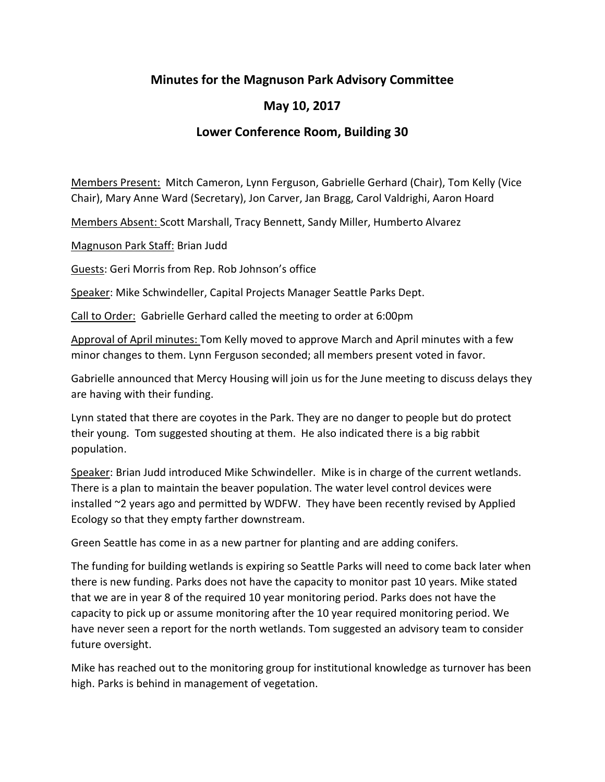## **Minutes for the Magnuson Park Advisory Committee**

## **May 10, 2017**

## **Lower Conference Room, Building 30**

Members Present: Mitch Cameron, Lynn Ferguson, Gabrielle Gerhard (Chair), Tom Kelly (Vice Chair), Mary Anne Ward (Secretary), Jon Carver, Jan Bragg, Carol Valdrighi, Aaron Hoard

Members Absent: Scott Marshall, Tracy Bennett, Sandy Miller, Humberto Alvarez

Magnuson Park Staff: Brian Judd

Guests: Geri Morris from Rep. Rob Johnson's office

Speaker: Mike Schwindeller, Capital Projects Manager Seattle Parks Dept.

Call to Order: Gabrielle Gerhard called the meeting to order at 6:00pm

Approval of April minutes: Tom Kelly moved to approve March and April minutes with a few minor changes to them. Lynn Ferguson seconded; all members present voted in favor.

Gabrielle announced that Mercy Housing will join us for the June meeting to discuss delays they are having with their funding.

Lynn stated that there are coyotes in the Park. They are no danger to people but do protect their young. Tom suggested shouting at them. He also indicated there is a big rabbit population.

Speaker: Brian Judd introduced Mike Schwindeller. Mike is in charge of the current wetlands. There is a plan to maintain the beaver population. The water level control devices were installed ~2 years ago and permitted by WDFW. They have been recently revised by Applied Ecology so that they empty farther downstream.

Green Seattle has come in as a new partner for planting and are adding conifers.

The funding for building wetlands is expiring so Seattle Parks will need to come back later when there is new funding. Parks does not have the capacity to monitor past 10 years. Mike stated that we are in year 8 of the required 10 year monitoring period. Parks does not have the capacity to pick up or assume monitoring after the 10 year required monitoring period. We have never seen a report for the north wetlands. Tom suggested an advisory team to consider future oversight.

Mike has reached out to the monitoring group for institutional knowledge as turnover has been high. Parks is behind in management of vegetation.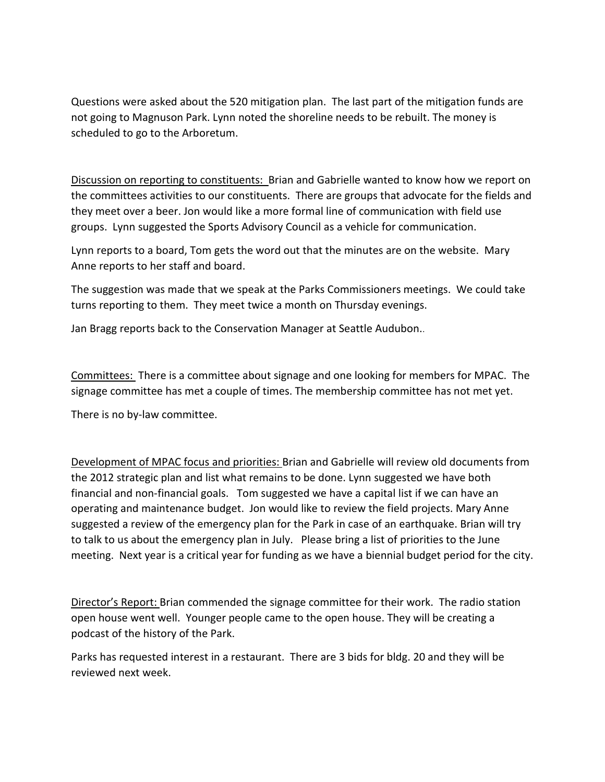Questions were asked about the 520 mitigation plan. The last part of the mitigation funds are not going to Magnuson Park. Lynn noted the shoreline needs to be rebuilt. The money is scheduled to go to the Arboretum.

Discussion on reporting to constituents: Brian and Gabrielle wanted to know how we report on the committees activities to our constituents. There are groups that advocate for the fields and they meet over a beer. Jon would like a more formal line of communication with field use groups. Lynn suggested the Sports Advisory Council as a vehicle for communication.

Lynn reports to a board, Tom gets the word out that the minutes are on the website. Mary Anne reports to her staff and board.

The suggestion was made that we speak at the Parks Commissioners meetings. We could take turns reporting to them. They meet twice a month on Thursday evenings.

Jan Bragg reports back to the Conservation Manager at Seattle Audubon..

Committees: There is a committee about signage and one looking for members for MPAC. The signage committee has met a couple of times. The membership committee has not met yet.

There is no by-law committee.

Development of MPAC focus and priorities: Brian and Gabrielle will review old documents from the 2012 strategic plan and list what remains to be done. Lynn suggested we have both financial and non-financial goals. Tom suggested we have a capital list if we can have an operating and maintenance budget. Jon would like to review the field projects. Mary Anne suggested a review of the emergency plan for the Park in case of an earthquake. Brian will try to talk to us about the emergency plan in July. Please bring a list of priorities to the June meeting. Next year is a critical year for funding as we have a biennial budget period for the city.

Director's Report: Brian commended the signage committee for their work. The radio station open house went well. Younger people came to the open house. They will be creating a podcast of the history of the Park.

Parks has requested interest in a restaurant. There are 3 bids for bldg. 20 and they will be reviewed next week.